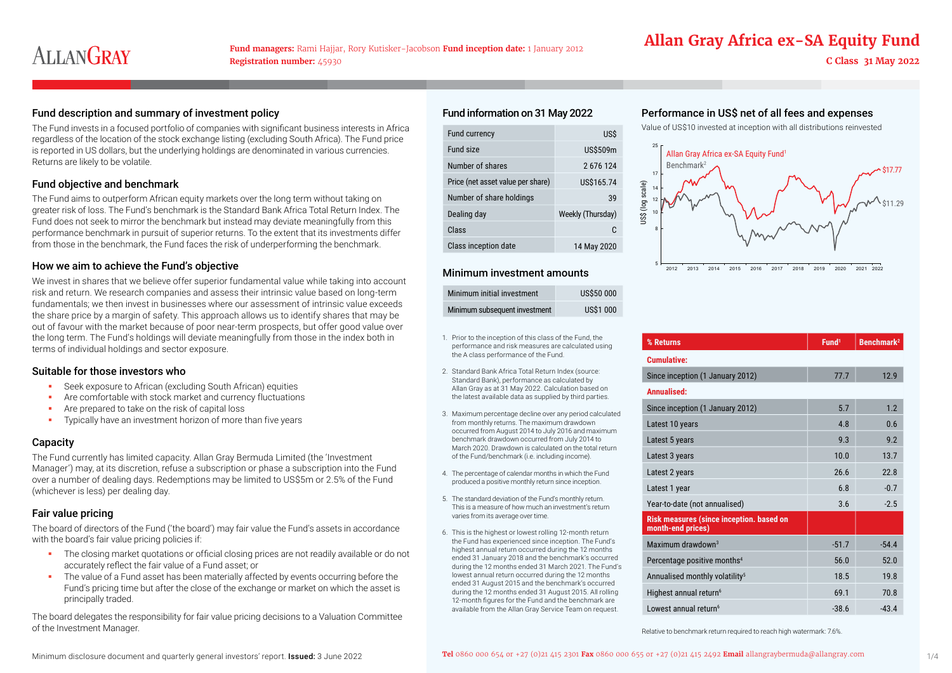# **Allan Gray Africa ex-SA Equity Fund**

### Fund description and summary of investment policy expenses expenses Performation on 31 May 2022 Performance in US\$ net of all fees and expenses

The Fund invests in a focused portfolio of companies with significant business interests in Africa regardless of the location of the stock exchange listing (excluding South Africa). The Fund price is reported in US dollars, but the underlying holdings are denominated in various currencies. Returns are likely to be volatile.

### Fund objective and benchmark

The Fund aims to outperform African equity markets over the long term without taking on greater risk of loss. The Fund's benchmark is the Standard Bank Africa Total Return Index. The Fund does not seek to mirror the benchmark but instead may deviate meaningfully from this performance benchmark in pursuit of superior returns. To the extent that its investments differ from those in the benchmark, the Fund faces the risk of underperforming the benchmark.

#### How we aim to achieve the Fund's objective

We invest in shares that we believe offer superior fundamental value while taking into account risk and return. We research companies and assess their intrinsic value based on long-term fundamentals; we then invest in businesses where our assessment of intrinsic value exceeds the share price by a margin of safety. This approach allows us to identify shares that may be out of favour with the market because of poor near-term prospects, but offer good value over the long term. The Fund's holdings will deviate meaningfully from those in the index both in terms of individual holdings and sector exposure.

### Suitable for those investors who

- Seek exposure to African (excluding South African) equities
- **Are comfortable with stock market and currency fluctuations**
- Are prepared to take on the risk of capital loss
- **Typically have an investment horizon of more than five years**

# **Capacity**

The Fund currently has limited capacity. Allan Gray Bermuda Limited (the 'Investment Manager') may, at its discretion, refuse a subscription or phase a subscription into the Fund over a number of dealing days. Redemptions may be limited to US\$5m or 2.5% of the Fund (whichever is less) per dealing day.

# Fair value pricing

The board of directors of the Fund ('the board') may fair value the Fund's assets in accordance with the board's fair value pricing policies if:

- **The closing market quotations or official closing prices are not readily available or do not** accurately reflect the fair value of a Fund asset; or
- The value of a Fund asset has been materially affected by events occurring before the Fund's pricing time but after the close of the exchange or market on which the asset is principally traded.

The board delegates the responsibility for fair value pricing decisions to a Valuation Committee of the Investment Manager.

# Fund information on 31 May 2022

| Fund currency                     | <b>USS</b>        |
|-----------------------------------|-------------------|
| Fund size                         | US\$509m          |
| Number of shares                  | 2676124           |
| Price (net asset value per share) | US\$165.74        |
| Number of share holdings          | 39                |
| Dealing day                       | Weekly (Thursday) |
| Class                             | C.                |
| Class inception date              | 14 May 2020       |

### Minimum investment amounts

| Minimum initial investment    | <b>US\$50 000</b> |
|-------------------------------|-------------------|
| Minimum subsequent investment | <b>US\$1 000</b>  |

- 1. Prior to the inception of this class of the Fund, the performance and risk measures are calculated using the A class performance of the Fund.
- 2. Standard Bank Africa Total Return Index (source: Standard Bank), performance as calculated by Allan Gray as at 31 May 2022. Calculation based on the latest available data as supplied by third parties.
- 3. Maximum percentage decline over any period calculated from monthly returns. The maximum drawdown occurred from August 2014 to July 2016 and maximum benchmark drawdown occurred from July 2014 to March 2020. Drawdown is calculated on the total return of the Fund/benchmark (i.e. including income).
- 4. The percentage of calendar months in which the Fund produced a positive monthly return since inception.
- 5. The standard deviation of the Fund's monthly return. This is a measure of how much an investment's return varies from its average over time.
- 6. This is the highest or lowest rolling 12-month return the Fund has experienced since inception. The Fund's highest annual return occurred during the 12 months ended 31 January 2018 and the benchmark's occurred during the 12 months ended 31 March 2021. The Fund's lowest annual return occurred during the 12 months ended 31 August 2015 and the benchmark's occurred during the 12 months ended 31 August 2015. All rolling 12-month figures for the Fund and the benchmark are available from the Allan Gray Service Team on request.

Value of US\$10 invested at inception with all distributions reinvested



| % Returns                                                            | Fund <sup>1</sup> | Benchmark <sup>2</sup> |
|----------------------------------------------------------------------|-------------------|------------------------|
| <b>Cumulative:</b>                                                   |                   |                        |
| Since inception (1 January 2012)                                     | 77.7              | 12.9                   |
| Annualised:                                                          |                   |                        |
| Since inception (1 January 2012)                                     | 5.7               | 1.2                    |
| Latest 10 years                                                      | 4.8               | 0.6                    |
| Latest 5 years                                                       | 9.3               | 9.2                    |
| Latest 3 years                                                       | 10.0              | 13.7                   |
| Latest 2 years                                                       | 26.6              | 22.8                   |
| Latest 1 year                                                        | 6.8               | $-0.7$                 |
| Year-to-date (not annualised)                                        | 3.6               | $-2.5$                 |
| <b>Risk measures (since inception. based on</b><br>month-end prices) |                   |                        |
| Maximum drawdown $3$                                                 | $-51.7$           | $-54.4$                |
| Percentage positive months <sup>4</sup>                              | 56.0              | 52.0                   |
| Annualised monthly volatility <sup>5</sup>                           | 18.5              | 19.8                   |
| Highest annual return <sup>6</sup>                                   | 69.1              | 70.8                   |
| Lowest annual return <sup>6</sup>                                    | $-38.6$           | $-43.4$                |

Relative to benchmark return required to reach high watermark: 7.6%.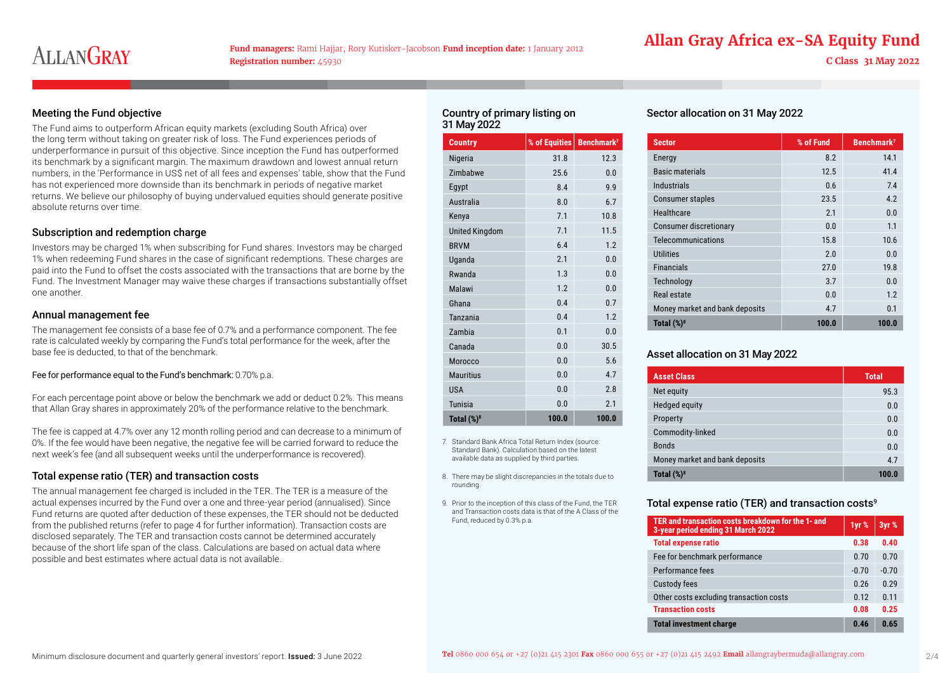**Fund managers:** Rami Hajjar, Rory Kutisker-Jacobson **Fund inception date:** 1 January 2012 **Registration number:** 45930 **C Class 31 May 2022**

# **Allan Gray Africa ex-SA Equity Fund**

### Meeting the Fund objective

The Fund aims to outperform African equity markets (excluding South Africa) over the long term without taking on greater risk of loss. The Fund experiences periods of underperformance in pursuit of this objective. Since inception the Fund has outperformed its benchmark by a significant margin. The maximum drawdown and lowest annual return numbers, in the 'Performance in US\$ net of all fees and expenses' table, show that the Fund has not experienced more downside than its benchmark in periods of negative market returns. We believe our philosophy of buying undervalued equities should generate positive absolute returns over time.

#### Subscription and redemption charge

Investors may be charged 1% when subscribing for Fund shares. Investors may be charged 1% when redeeming Fund shares in the case of significant redemptions. These charges are paid into the Fund to offset the costs associated with the transactions that are borne by the Fund. The Investment Manager may waive these charges if transactions substantially offset one another.

#### Annual management fee

The management fee consists of a base fee of 0.7% and a performance component. The fee rate is calculated weekly by comparing the Fund's total performance for the week, after the base fee is deducted, to that of the benchmark.

#### Fee for performance equal to the Fund's benchmark: 0.70% p.a.

For each percentage point above or below the benchmark we add or deduct 0.2%. This means that Allan Gray shares in approximately 20% of the performance relative to the benchmark.

The fee is capped at 4.7% over any 12 month rolling period and can decrease to a minimum of 0%. If the fee would have been negative, the negative fee will be carried forward to reduce the next week's fee (and all subsequent weeks until the underperformance is recovered).

#### Total expense ratio (TER) and transaction costs

The annual management fee charged is included in the TER. The TER is a measure of the actual expenses incurred by the Fund over a one and three-year period (annualised). Since Fund returns are quoted after deduction of these expenses, the TER should not be deducted from the published returns (refer to page 4 for further information). Transaction costs are disclosed separately. The TER and transaction costs cannot be determined accurately because of the short life span of the class. Calculations are based on actual data where possible and best estimates where actual data is not available.

#### Country of primary listing on 31 May 2022

| <b>Country</b>        | % of Equities | Benchmark <sup>7</sup> |
|-----------------------|---------------|------------------------|
| Nigeria               | 31.8          | 12.3                   |
| Zimbabwe              | 25.6          | 0.0                    |
| Egypt                 | 8.4           | 9.9                    |
| Australia             | 8.0           | 6.7                    |
| Kenya                 | 7.1           | 10.8                   |
| <b>United Kingdom</b> | 7.1           | 11.5                   |
| <b>BRVM</b>           | 6.4           | 1.2                    |
| Uganda                | 2.1           | 0.0                    |
| Rwanda                | 1.3           | 0.0                    |
| Malawi                | 1.2           | 0.0                    |
| Ghana                 | 0.4           | 0.7                    |
| Tanzania              | 0.4           | 1.2                    |
| Zambia                | 0.1           | 0.0                    |
| Canada                | 0.0           | 30.5                   |
| Morocco               | 0.0           | 5.6                    |
| <b>Mauritius</b>      | 0.0           | 4.7                    |
| <b>USA</b>            | 0.0           | 2.8                    |
| Tunisia               | 0.0           | 2.1                    |
| Total $(\%)^8$        | 100.0         | 100.0                  |

7. Standard Bank Africa Total Return Index (source: Standard Bank). Calculation based on the latest available data as supplied by third parties.

- 8. There may be slight discrepancies in the totals due to rounding.
- 9. Prior to the inception of this class of the Fund, the TER and Transaction costs data is that of the A Class of the Fund, reduced by 0.3% p.a.

### Sector allocation on 31 May 2022

| <b>Sector</b>                  | % of Fund | Benchmark <sup>7</sup> |
|--------------------------------|-----------|------------------------|
| Energy                         | 8.2       | 14.1                   |
| <b>Basic materials</b>         | 12.5      | 41.4                   |
| Industrials                    | 0.6       | 7.4                    |
| <b>Consumer staples</b>        | 23.5      | 4.2                    |
| Healthcare                     | 2.1       | 0.0                    |
| <b>Consumer discretionary</b>  | 0.0       | 1.1                    |
| Telecommunications             | 15.8      | 10.6                   |
| <b>Utilities</b>               | 2.0       | 0.0                    |
| <b>Financials</b>              | 27.0      | 19.8                   |
| Technology                     | 3.7       | 0.0                    |
| Real estate                    | 0.0       | 1.2                    |
| Money market and bank deposits | 4.7       | 0.1                    |
| Total $(\%)^8$                 | 100.0     | 100.0                  |

### Asset allocation on 31 May 2022

| <b>Asset Class</b>             | <b>Total</b> |  |
|--------------------------------|--------------|--|
| Net equity                     | 95.3         |  |
| <b>Hedged equity</b>           | 0.0          |  |
| Property                       | 0.0          |  |
| Commodity-linked               | 0.0          |  |
| <b>Bonds</b>                   | 0.0          |  |
| Money market and bank deposits | 4.7          |  |
| Total $(\%)^8$                 | 100.0        |  |

#### Total expense ratio (TER) and transaction costs<sup>9</sup>

| TER and transaction costs breakdown for the 1- and<br>3-year period ending 31 March 2022 | 1yr %   | 3yr %   |
|------------------------------------------------------------------------------------------|---------|---------|
| <b>Total expense ratio</b>                                                               | 0.38    | 0.40    |
| Fee for benchmark performance                                                            | 0.70    | 0.70    |
| Performance fees                                                                         | $-0.70$ | $-0.70$ |
| <b>Custody fees</b>                                                                      | 0.26    | 0.29    |
| Other costs excluding transaction costs                                                  | 0.12    | 0.11    |
| <b>Transaction costs</b>                                                                 | 0.08    | 0.25    |
| <b>Total investment charge</b>                                                           | 0.46    | 0.65    |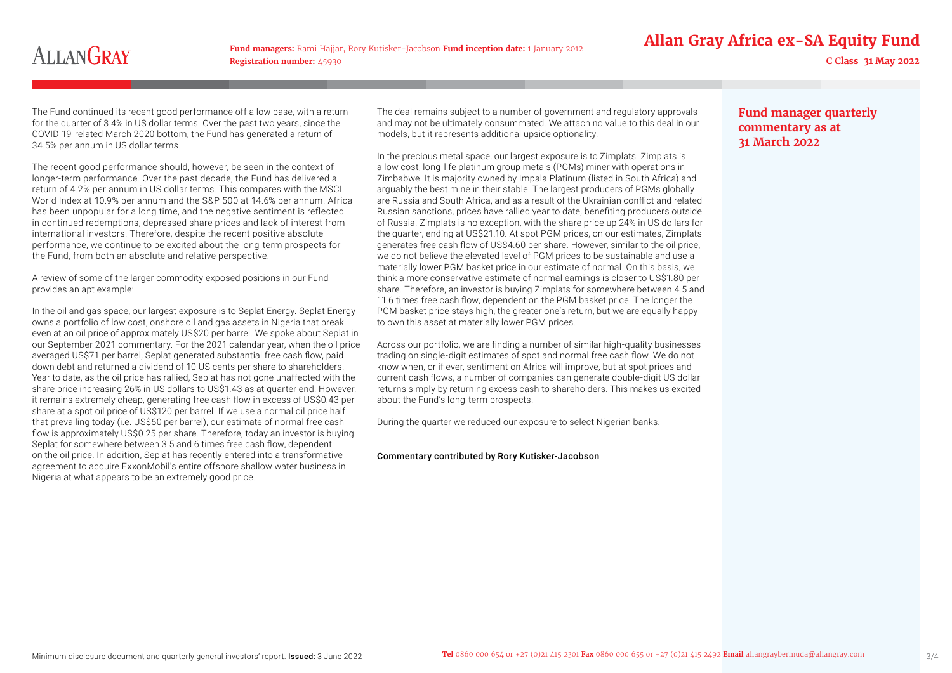**Fund managers:** Rami Hajjar, Rory Kutisker-Jacobson **Fund inception date:** 1 January 2012 **Registration number:** 45930 **C Class 31 May 2022**

# **Allan Gray Africa ex-SA Equity Fund**

The Fund continued its recent good performance off a low base, with a return for the quarter of 3.4% in US dollar terms. Over the past two years, since the COVID-19-related March 2020 bottom, the Fund has generated a return of 34.5% per annum in US dollar terms.

The recent good performance should, however, be seen in the context of longer-term performance. Over the past decade, the Fund has delivered a return of 4.2% per annum in US dollar terms. This compares with the MSCI World Index at 10.9% per annum and the S&P 500 at 14.6% per annum. Africa has been unpopular for a long time, and the negative sentiment is reflected in continued redemptions, depressed share prices and lack of interest from international investors. Therefore, despite the recent positive absolute performance, we continue to be excited about the long-term prospects for the Fund, from both an absolute and relative perspective.

A review of some of the larger commodity exposed positions in our Fund provides an apt example:

In the oil and gas space, our largest exposure is to Seplat Energy. Seplat Energy owns a portfolio of low cost, onshore oil and gas assets in Nigeria that break even at an oil price of approximately US\$20 per barrel. We spoke about Seplat in our September 2021 commentary. For the 2021 calendar year, when the oil price averaged US\$71 per barrel. Seplat generated substantial free cash flow, paid down debt and returned a dividend of 10 US cents per share to shareholders. Year to date, as the oil price has rallied, Seplat has not gone unaffected with the share price increasing 26% in US dollars to US\$1.43 as at quarter end. However, it remains extremely cheap, generating free cash flow in excess of US\$0.43 per share at a spot oil price of US\$120 per barrel. If we use a normal oil price half that prevailing today (i.e. US\$60 per barrel), our estimate of normal free cash flow is approximately US\$0.25 per share. Therefore, today an investor is buying Seplat for somewhere between 3.5 and 6 times free cash flow, dependent on the oil price. In addition, Seplat has recently entered into a transformative agreement to acquire ExxonMobil's entire offshore shallow water business in Nigeria at what appears to be an extremely good price.

The deal remains subject to a number of government and regulatory approvals and may not be ultimately consummated. We attach no value to this deal in our models, but it represents additional upside optionality.

In the precious metal space, our largest exposure is to Zimplats. Zimplats is a low cost, long-life platinum group metals (PGMs) miner with operations in Zimbabwe. It is majority owned by Impala Platinum (listed in South Africa) and arguably the best mine in their stable. The largest producers of PGMs globally are Russia and South Africa, and as a result of the Ukrainian conflict and related Russian sanctions, prices have rallied year to date, benefiting producers outside of Russia. Zimplats is no exception, with the share price up 24% in US dollars for the quarter, ending at US\$21.10. At spot PGM prices, on our estimates, Zimplats generates free cash flow of US\$4.60 per share. However, similar to the oil price, we do not believe the elevated level of PGM prices to be sustainable and use a materially lower PGM basket price in our estimate of normal. On this basis, we think a more conservative estimate of normal earnings is closer to US\$1.80 per share. Therefore, an investor is buying Zimplats for somewhere between 4.5 and 11.6 times free cash flow, dependent on the PGM basket price. The longer the PGM basket price stays high, the greater one's return, but we are equally happy to own this asset at materially lower PGM prices.

Across our portfolio, we are finding a number of similar high-quality businesses trading on single-digit estimates of spot and normal free cash flow. We do not know when, or if ever, sentiment on Africa will improve, but at spot prices and current cash flows, a number of companies can generate double-digit US dollar returns simply by returning excess cash to shareholders. This makes us excited about the Fund's long-term prospects.

During the quarter we reduced our exposure to select Nigerian banks.

#### Commentary contributed by Rory Kutisker-Jacobson

# **Fund manager quarterly commentary as at 31 March 2022**